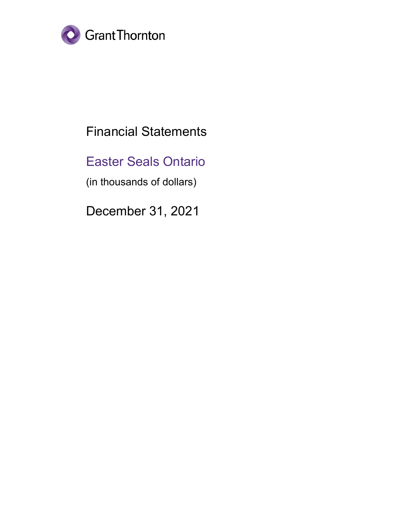

# Financial Statements

# Easter Seals Ontario

(in thousands of dollars)

December 31, 2021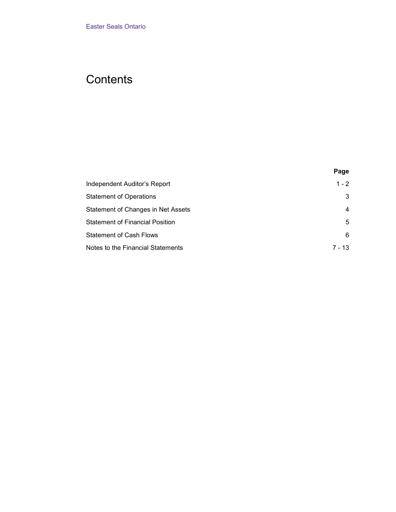# **Contents**

| Page     |
|----------|
| $1 - 2$  |
| 3        |
| 4        |
| 5        |
| 6        |
| $7 - 13$ |
|          |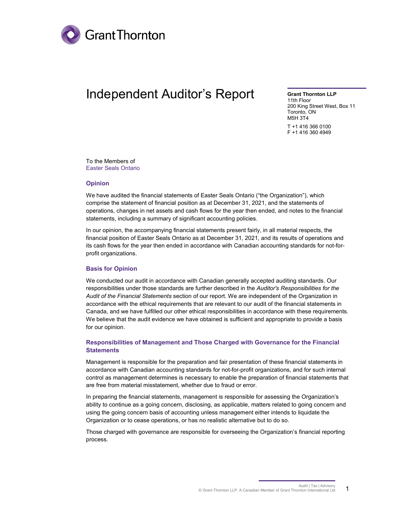

## <span id="page-2-0"></span>Independent Auditor's Report

**Grant Thornton LLP**

11th Floor 200 King Street West, Box 11 Toronto, ON M5H 3T4 T +1 416 366 0100 F +1 416 360 4949

To the Members of Easter Seals Ontario

#### **Opinion**

We have audited the financial statements of Easter Seals Ontario ("the Organization"), which comprise the statement of financial position as at December 31, 2021, and the statements of operations, changes in net assets and cash flows for the year then ended, and notes to the financial statements, including a summary of significant accounting policies.

In our opinion, the accompanying financial statements present fairly, in all material respects, the financial position of Easter Seals Ontario as at December 31, 2021, and its results of operations and its cash flows for the year then ended in accordance with Canadian accounting standards for not-forprofit organizations.

#### **Basis for Opinion**

We conducted our audit in accordance with Canadian generally accepted auditing standards. Our responsibilities under those standards are further described in the *Auditor's Responsibilities for the Audit of the Financial Statements* section of our report. We are independent of the Organization in accordance with the ethical requirements that are relevant to our audit of the financial statements in Canada, and we have fulfilled our other ethical responsibilities in accordance with these requirements. We believe that the audit evidence we have obtained is sufficient and appropriate to provide a basis for our opinion.

#### **Responsibilities of Management and Those Charged with Governance for the Financial Statements**

Management is responsible for the preparation and fair presentation of these financial statements in accordance with Canadian accounting standards for not-for-profit organizations, and for such internal control as management determines is necessary to enable the preparation of financial statements that are free from material misstatement, whether due to fraud or error.

In preparing the financial statements, management is responsible for assessing the Organization's ability to continue as a going concern, disclosing, as applicable, matters related to going concern and using the going concern basis of accounting unless management either intends to liquidate the Organization or to cease operations, or has no realistic alternative but to do so.

Those charged with governance are responsible for overseeing the Organization's financial reporting process.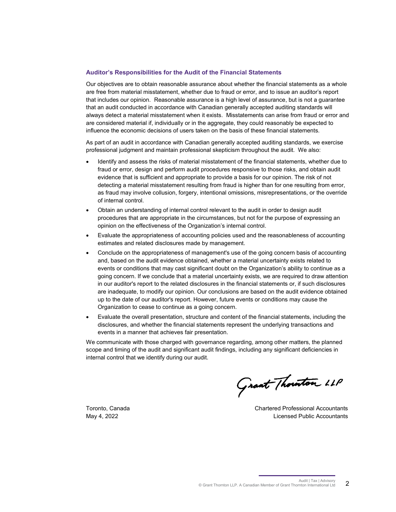#### **Auditor's Responsibilities for the Audit of the Financial Statements**

Our objectives are to obtain reasonable assurance about whether the financial statements as a whole are free from material misstatement, whether due to fraud or error, and to issue an auditor's report that includes our opinion. Reasonable assurance is a high level of assurance, but is not a guarantee that an audit conducted in accordance with Canadian generally accepted auditing standards will always detect a material misstatement when it exists. Misstatements can arise from fraud or error and are considered material if, individually or in the aggregate, they could reasonably be expected to influence the economic decisions of users taken on the basis of these financial statements.

As part of an audit in accordance with Canadian generally accepted auditing standards, we exercise professional judgment and maintain professional skepticism throughout the audit. We also:

- Identify and assess the risks of material misstatement of the financial statements, whether due to fraud or error, design and perform audit procedures responsive to those risks, and obtain audit evidence that is sufficient and appropriate to provide a basis for our opinion. The risk of not detecting a material misstatement resulting from fraud is higher than for one resulting from error, as fraud may involve collusion, forgery, intentional omissions, misrepresentations, or the override of internal control.
- Obtain an understanding of internal control relevant to the audit in order to design audit procedures that are appropriate in the circumstances, but not for the purpose of expressing an opinion on the effectiveness of the Organization's internal control.
- Evaluate the appropriateness of accounting policies used and the reasonableness of accounting estimates and related disclosures made by management.
- Conclude on the appropriateness of management's use of the going concern basis of accounting and, based on the audit evidence obtained, whether a material uncertainty exists related to events or conditions that may cast significant doubt on the Organization's ability to continue as a going concern. If we conclude that a material uncertainty exists, we are required to draw attention in our auditor's report to the related disclosures in the financial statements or, if such disclosures are inadequate, to modify our opinion. Our conclusions are based on the audit evidence obtained up to the date of our auditor's report. However, future events or conditions may cause the Organization to cease to continue as a going concern.
- Evaluate the overall presentation, structure and content of the financial statements, including the disclosures, and whether the financial statements represent the underlying transactions and events in a manner that achieves fair presentation.

We communicate with those charged with governance regarding, among other matters, the planned scope and timing of the audit and significant audit findings, including any significant deficiencies in internal control that we identify during our audit.

Grant Thouston LLP

Toronto, Canada Chartered Professional Accountants May 4, 2022 Licensed Public Accountants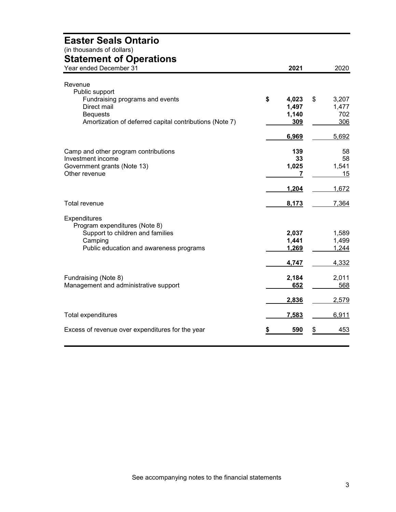## **Easter Seals Ontario**

(in thousands of dollars)

### <span id="page-4-0"></span>**Statement of Operations**

| aatiiviit ol operations<br>Year ended December 31       | 2021        | 2020        |
|---------------------------------------------------------|-------------|-------------|
| Revenue                                                 |             |             |
| Public support                                          |             |             |
| Fundraising programs and events                         | \$<br>4,023 | \$<br>3,207 |
| Direct mail                                             | 1,497       | 1,477       |
| <b>Bequests</b>                                         | 1,140       | 702         |
| Amortization of deferred capital contributions (Note 7) | 309         | 306         |
|                                                         |             |             |
|                                                         | 6,969       | 5,692       |
| Camp and other program contributions                    | 139         | 58          |
| Investment income                                       | 33          | 58          |
| Government grants (Note 13)                             | 1,025       | 1,541       |
| Other revenue                                           | 7           | 15          |
|                                                         |             |             |
|                                                         | 1,204       | 1,672       |
| <b>Total revenue</b>                                    | 8,173       | 7,364       |
| Expenditures                                            |             |             |
| Program expenditures (Note 8)                           |             |             |
| Support to children and families                        | 2,037       | 1,589       |
| Camping                                                 | 1,441       | 1,499       |
| Public education and awareness programs                 | 1,269       | 1,244       |
|                                                         | 4,747       | 4,332       |
|                                                         |             |             |
| Fundraising (Note 8)                                    | 2,184       | 2,011       |
| Management and administrative support                   | 652         | 568         |
|                                                         | 2,836       | 2,579       |
| Total expenditures                                      | 7,583       | 6,911       |
|                                                         |             |             |
| Excess of revenue over expenditures for the year        | 590         | \$<br>453   |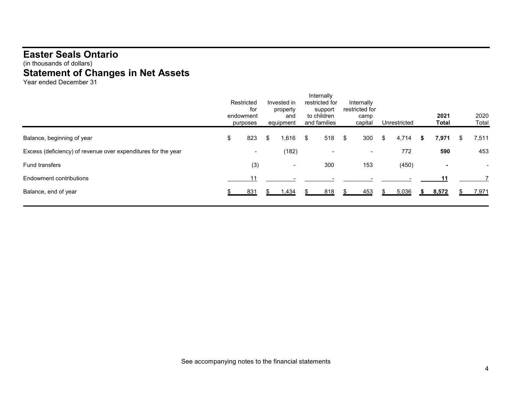### **Easter Seals Ontario** (in thousands of dollars) **Statement of Changes in Net Assets**

Year ended December 31

<span id="page-5-0"></span>

|                                                               | Restricted<br>for<br>endowment<br>purposes | Invested in<br>property<br>and<br>equipment | Internally<br>restricted for<br>support<br>to children<br>and families | Internally<br>restricted for | camp<br>capital          | Unrestricted |   | 2021<br><b>Total</b>     |   | 2020<br>Total |
|---------------------------------------------------------------|--------------------------------------------|---------------------------------------------|------------------------------------------------------------------------|------------------------------|--------------------------|--------------|---|--------------------------|---|---------------|
| Balance, beginning of year                                    | \$<br>823                                  | \$<br>1,616                                 | \$<br>518                                                              | - \$                         | 300                      | \$<br>4,714  | S | 7,971                    | S | 7,511         |
| Excess (deficiency) of revenue over expenditures for the year | $\blacksquare$                             | (182)                                       |                                                                        |                              | $\overline{\phantom{a}}$ | 772          |   | 590                      |   | 453           |
| <b>Fund transfers</b>                                         | (3)                                        | $\overline{\phantom{a}}$                    | 300                                                                    |                              | 153                      | (450)        |   | $\overline{\phantom{a}}$ |   |               |
| Endowment contributions                                       | 11                                         |                                             |                                                                        |                              |                          |              |   | 11                       |   |               |
| Balance, end of year                                          | 831                                        | 1,434                                       | 818                                                                    |                              | 453                      | 5,036        |   | 8,572                    |   | 7,971         |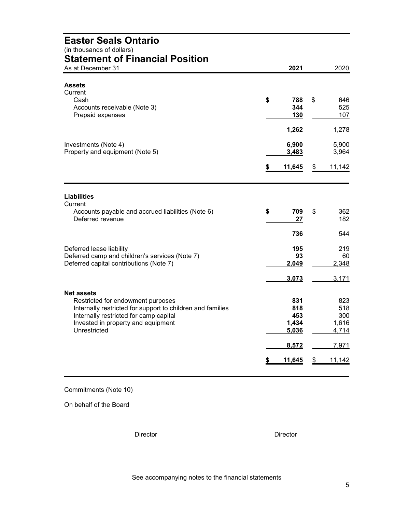<span id="page-6-0"></span>

| <b>Easter Seals Ontario</b><br>(in thousands of dollars)<br><b>Statement of Financial Position</b>                               |                         |
|----------------------------------------------------------------------------------------------------------------------------------|-------------------------|
| 2021<br>As at December 31                                                                                                        | 2020                    |
|                                                                                                                                  |                         |
| Assets<br>Current                                                                                                                |                         |
| Cash<br>\$<br>788                                                                                                                | \$<br>646               |
| Accounts receivable (Note 3)<br>344                                                                                              | 525                     |
| Prepaid expenses<br>130                                                                                                          | 107                     |
| 1,262                                                                                                                            | 1,278                   |
| Investments (Note 4)<br>6,900                                                                                                    | 5,900                   |
| Property and equipment (Note 5)<br>3,483                                                                                         | 3,964                   |
| \$<br>11,645                                                                                                                     | 11,142<br>\$            |
|                                                                                                                                  |                         |
| <b>Liabilities</b><br>Current<br>\$<br>Accounts payable and accrued liabilities (Note 6)<br>709<br>Deferred revenue<br>27<br>736 | \$<br>362<br>182<br>544 |
|                                                                                                                                  |                         |
| Deferred lease liability<br>195<br>Deferred camp and children's services (Note 7)<br>93                                          | 219<br>60               |
| Deferred capital contributions (Note 7)<br>2,049                                                                                 | 2,348                   |
| 3,073                                                                                                                            | 3,171                   |
| <b>Net assets</b>                                                                                                                |                         |
| Restricted for endowment purposes<br>831                                                                                         | 823                     |
| Internally restricted for support to children and families<br>818                                                                | 518                     |
| Internally restricted for camp capital<br>453<br>1,434<br>Invested in property and equipment                                     | 300<br>1,616            |
| Unrestricted<br>5,036                                                                                                            | 4,714                   |
| 8,572                                                                                                                            | 7,971                   |
|                                                                                                                                  |                         |

Commitments (Note 10)

On behalf of the Board

Director Director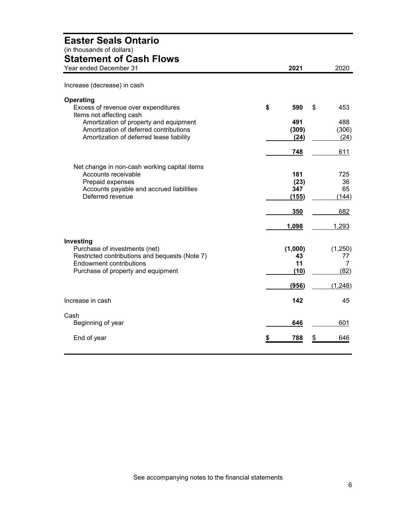### <span id="page-7-0"></span>**Easter Seals Ontario** (in thousands of dollars) **Statement of Cash Flows** Year ended December 31 **2021** 2020 Increase (decrease) in cash **Operating** Excess of revenue over expenditures **\$ 590** \$ 453 Items not affecting cash Amortization of property and equipment<br>
Amortization of deferred contributions **491** 488
(309)
(306) Amortization of deferred contributions (309) (306)<br>Amortization of deferred lease liability (24) (24) (24) (24) Amortization of deferred lease liability **(24)** (24) **748** 611 Net change in non-cash working capital items Accounts receivable **181** 725<br>Prepaid expenses 6 181 25 Prepaid expenses **(23)** 36 Accounts payable and accrued liabilities **347** 65<br>Deferred revenue (144) **Deferred revenue 350** 682 **1,098** 1,293 **Investing** Purchase of investments (net) (1,000)  $(1,250)$ <br>Restricted contributions and bequests (Note 7) (1,000) (1,250) Restricted contributions and bequests (Note 7) **43** 43 77<br>Endowment contributions **11** 7 Endowment contributions **11**<br>
Purchase of property and equipment (10) Purchase of property and equipment **(10)** (82) **(956)** (1,248) **Increase in cash 142** 45 Cash Beginning of year **646** 601 End of year **\$ 788** \$ 646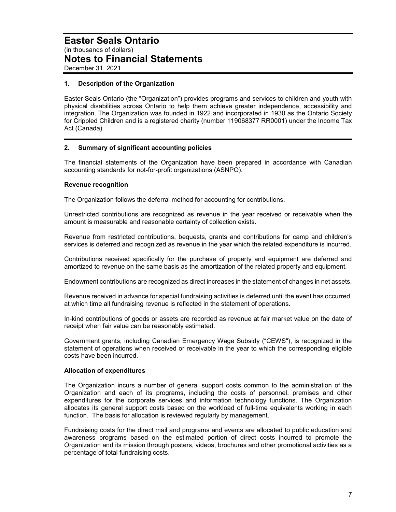#### **1. Description of the Organization**

Easter Seals Ontario (the "Organization") provides programs and services to children and youth with physical disabilities across Ontario to help them achieve greater independence, accessibility and integration. The Organization was founded in 1922 and incorporated in 1930 as the Ontario Society for Crippled Children and is a registered charity (number 119068377 RR0001) under the Income Tax Act (Canada).

#### **2. Summary of significant accounting policies**

The financial statements of the Organization have been prepared in accordance with Canadian accounting standards for not-for-profit organizations (ASNPO).

#### **Revenue recognition**

The Organization follows the deferral method for accounting for contributions.

Unrestricted contributions are recognized as revenue in the year received or receivable when the amount is measurable and reasonable certainty of collection exists.

Revenue from restricted contributions, bequests, grants and contributions for camp and children's services is deferred and recognized as revenue in the year which the related expenditure is incurred.

Contributions received specifically for the purchase of property and equipment are deferred and amortized to revenue on the same basis as the amortization of the related property and equipment.

Endowment contributions are recognized as direct increases in the statement of changes in net assets.

Revenue received in advance for special fundraising activities is deferred until the event has occurred, at which time all fundraising revenue is reflected in the statement of operations.

In-kind contributions of goods or assets are recorded as revenue at fair market value on the date of receipt when fair value can be reasonably estimated.

Government grants, including Canadian Emergency Wage Subsidy ("CEWS"), is recognized in the statement of operations when received or receivable in the year to which the corresponding eligible costs have been incurred.

#### **Allocation of expenditures**

The Organization incurs a number of general support costs common to the administration of the Organization and each of its programs, including the costs of personnel, premises and other expenditures for the corporate services and information technology functions. The Organization allocates its general support costs based on the workload of full-time equivalents working in each function. The basis for allocation is reviewed regularly by management.

Fundraising costs for the direct mail and programs and events are allocated to public education and awareness programs based on the estimated portion of direct costs incurred to promote the Organization and its mission through posters, videos, brochures and other promotional activities as a percentage of total fundraising costs.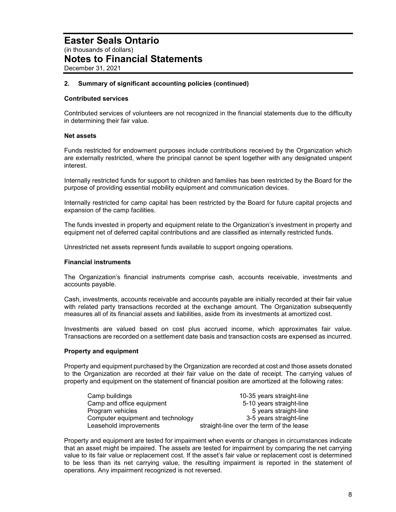#### **2. Summary of significant accounting policies (continued)**

#### **Contributed services**

Contributed services of volunteers are not recognized in the financial statements due to the difficulty in determining their fair value.

#### **Net assets**

Funds restricted for endowment purposes include contributions received by the Organization which are externally restricted, where the principal cannot be spent together with any designated unspent interest.

Internally restricted funds for support to children and families has been restricted by the Board for the purpose of providing essential mobility equipment and communication devices.

Internally restricted for camp capital has been restricted by the Board for future capital projects and expansion of the camp facilities.

The funds invested in property and equipment relate to the Organization's investment in property and equipment net of deferred capital contributions and are classified as internally restricted funds.

Unrestricted net assets represent funds available to support ongoing operations.

#### **Financial instruments**

The Organization's financial instruments comprise cash, accounts receivable, investments and accounts payable.

Cash, investments, accounts receivable and accounts payable are initially recorded at their fair value with related party transactions recorded at the exchange amount. The Organization subsequently measures all of its financial assets and liabilities, aside from its investments at amortized cost.

Investments are valued based on cost plus accrued income, which approximates fair value. Transactions are recorded on a settlement date basis and transaction costs are expensed as incurred.

#### **Property and equipment**

Property and equipment purchased by the Organization are recorded at cost and those assets donated to the Organization are recorded at their fair value on the date of receipt. The carrying values of property and equipment on the statement of financial position are amortized at the following rates:

| Camp buildings                    | 10-35 years straight-line                |
|-----------------------------------|------------------------------------------|
| Camp and office equipment         | 5-10 years straight-line                 |
| Program vehicles                  | 5 years straight-line                    |
| Computer equipment and technology | 3-5 years straight-line                  |
| Leasehold improvements            | straight-line over the term of the lease |

Property and equipment are tested for impairment when events or changes in circumstances indicate that an asset might be impaired. The assets are tested for impairment by comparing the net carrying value to its fair value or replacement cost. If the asset's fair value or replacement cost is determined to be less than its net carrying value, the resulting impairment is reported in the statement of operations. Any impairment recognized is not reversed.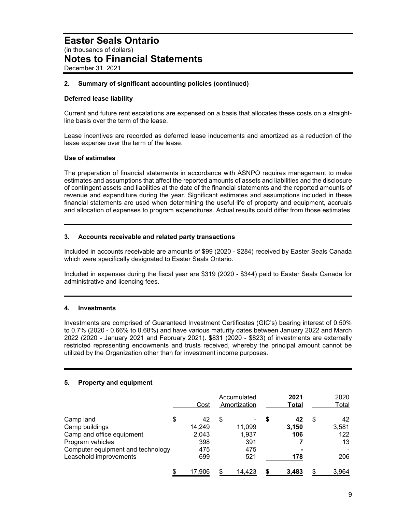#### **2. Summary of significant accounting policies (continued)**

#### **Deferred lease liability**

Current and future rent escalations are expensed on a basis that allocates these costs on a straightline basis over the term of the lease.

Lease incentives are recorded as deferred lease inducements and amortized as a reduction of the lease expense over the term of the lease.

#### **Use of estimates**

The preparation of financial statements in accordance with ASNPO requires management to make estimates and assumptions that affect the reported amounts of assets and liabilities and the disclosure of contingent assets and liabilities at the date of the financial statements and the reported amounts of revenue and expenditure during the year. Significant estimates and assumptions included in these financial statements are used when determining the useful life of property and equipment, accruals and allocation of expenses to program expenditures. Actual results could differ from those estimates.

#### **3. Accounts receivable and related party transactions**

Included in accounts receivable are amounts of \$99 (2020 - \$284) received by Easter Seals Canada which were specifically designated to Easter Seals Ontario.

Included in expenses during the fiscal year are \$319 (2020 - \$344) paid to Easter Seals Canada for administrative and licencing fees.

#### **4. Investments**

Investments are comprised of Guaranteed Investment Certificates (GIC's) bearing interest of 0.50% to 0.7% (2020 - 0.66% to 0.68%) and have various maturity dates between January 2022 and March 2022 (2020 - January 2021 and February 2021). \$831 (2020 - \$823) of investments are externally restricted representing endowments and trusts received, whereby the principal amount cannot be utilized by the Organization other than for investment income purposes.

#### **5. Property and equipment**

|                                   | Cost         |   | Accumulated<br>Amortization | 2021<br>Total |   | 2020<br>Total |
|-----------------------------------|--------------|---|-----------------------------|---------------|---|---------------|
| Camp land                         | \$<br>42     | S |                             | 42            | S | 42            |
| Camp buildings                    | 14.249       |   | 11,099                      | 3,150         |   | 3,581         |
| Camp and office equipment         | 2,043        |   | 1,937                       | 106           |   | 122           |
| Program vehicles                  | 398          |   | 391                         |               |   | 13            |
| Computer equipment and technology | 475          |   | 475                         |               |   |               |
| Leasehold improvements            | 699          |   | 521                         | 178           |   | 206           |
|                                   | \$<br>17,906 |   | 14.423                      | 3,483         |   | 3,964         |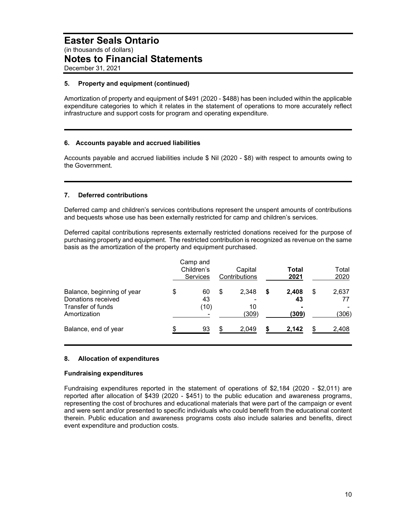#### **5. Property and equipment (continued)**

Amortization of property and equipment of \$491 (2020 - \$488) has been included within the applicable expenditure categories to which it relates in the statement of operations to more accurately reflect infrastructure and support costs for program and operating expenditure.

#### **6. Accounts payable and accrued liabilities**

Accounts payable and accrued liabilities include \$ Nil (2020 - \$8) with respect to amounts owing to the Government.

#### **7. Deferred contributions**

Deferred camp and children's services contributions represent the unspent amounts of contributions and bequests whose use has been externally restricted for camp and children's services.

Deferred capital contributions represents externally restricted donations received for the purpose of purchasing property and equipment. The restricted contribution is recognized as revenue on the same basis as the amortization of the property and equipment purchased.

|                                                                                       | Camp and<br>Children's<br>Services |    | Capital<br>Contributions |   | Total<br>2021        |   | Total<br>2020         |
|---------------------------------------------------------------------------------------|------------------------------------|----|--------------------------|---|----------------------|---|-----------------------|
| Balance, beginning of year<br>Donations received<br>Transfer of funds<br>Amortization | \$<br>60<br>43<br>(10)             | S  | 2,348<br>10<br>(309)     | S | 2,408<br>43<br>(309) | S | 2,637<br><u>(306)</u> |
| Balance, end of year                                                                  | 93                                 | \$ | 2,049                    |   | 2,142                |   | 2,408                 |

#### **8. Allocation of expenditures**

#### **Fundraising expenditures**

Fundraising expenditures reported in the statement of operations of \$2,184 (2020 - \$2,011) are reported after allocation of \$439 (2020 - \$451) to the public education and awareness programs, representing the cost of brochures and educational materials that were part of the campaign or event and were sent and/or presented to specific individuals who could benefit from the educational content therein. Public education and awareness programs costs also include salaries and benefits, direct event expenditure and production costs.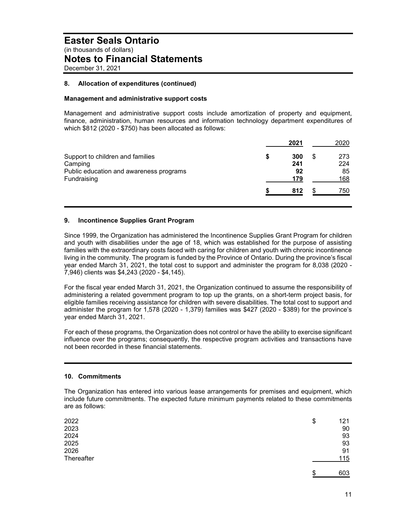#### **8. Allocation of expenditures (continued)**

#### **Management and administrative support costs**

Management and administrative support costs include amortization of property and equipment, finance, administration, human resources and information technology department expenditures of which \$812 (2020 - \$750) has been allocated as follows:

|                                         |   | 2021 | 2020 |
|-----------------------------------------|---|------|------|
| Support to children and families        | S | 300  | 273  |
| Camping                                 |   | 241  | 224  |
| Public education and awareness programs |   | 92   | 85   |
| Fundraising                             |   | 179  | 168  |
|                                         |   | 812  | 750  |

#### **9. Incontinence Supplies Grant Program**

Since 1999, the Organization has administered the Incontinence Supplies Grant Program for children and youth with disabilities under the age of 18, which was established for the purpose of assisting families with the extraordinary costs faced with caring for children and youth with chronic incontinence living in the community. The program is funded by the Province of Ontario. During the province's fiscal year ended March 31, 2021, the total cost to support and administer the program for 8,038 (2020 - 7,946) clients was \$4,243 (2020 - \$4,145).

For the fiscal year ended March 31, 2021, the Organization continued to assume the responsibility of administering a related government program to top up the grants, on a short-term project basis, for eligible families receiving assistance for children with severe disabilities. The total cost to support and administer the program for 1,578 (2020 - 1,379) families was \$427 (2020 - \$389) for the province's year ended March 31, 2021.

For each of these programs, the Organization does not control or have the ability to exercise significant influence over the programs; consequently, the respective program activities and transactions have not been recorded in these financial statements.

#### **10. Commitments**

The Organization has entered into various lease arrangements for premises and equipment, which include future commitments. The expected future minimum payments related to these commitments are as follows:

| 2022       | \$<br>121 |
|------------|-----------|
| 2023       | 90        |
| 2024       | 93        |
| 2025       | 93        |
| 2026       | 91        |
| Thereafter | 115       |
|            |           |

 $\frac{1}{3}$  603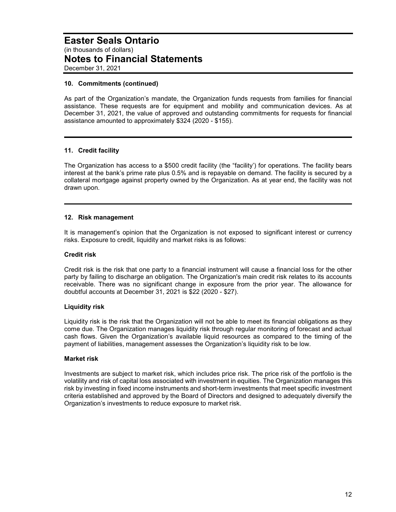#### **10. Commitments (continued)**

As part of the Organization's mandate, the Organization funds requests from families for financial assistance. These requests are for equipment and mobility and communication devices. As at December 31, 2021, the value of approved and outstanding commitments for requests for financial assistance amounted to approximately \$324 (2020 - \$155).

#### **11. Credit facility**

The Organization has access to a \$500 credit facility (the "facility') for operations. The facility bears interest at the bank's prime rate plus 0.5% and is repayable on demand. The facility is secured by a collateral mortgage against property owned by the Organization. As at year end, the facility was not drawn upon.

#### **12. Risk management**

It is management's opinion that the Organization is not exposed to significant interest or currency risks. Exposure to credit, liquidity and market risks is as follows:

#### **Credit risk**

Credit risk is the risk that one party to a financial instrument will cause a financial loss for the other party by failing to discharge an obligation. The Organization's main credit risk relates to its accounts receivable. There was no significant change in exposure from the prior year. The allowance for doubtful accounts at December 31, 2021 is \$22 (2020 - \$27).

#### **Liquidity risk**

Liquidity risk is the risk that the Organization will not be able to meet its financial obligations as they come due. The Organization manages liquidity risk through regular monitoring of forecast and actual cash flows. Given the Organization's available liquid resources as compared to the timing of the payment of liabilities, management assesses the Organization's liquidity risk to be low.

#### **Market risk**

Investments are subject to market risk, which includes price risk. The price risk of the portfolio is the volatility and risk of capital loss associated with investment in equities. The Organization manages this risk by investing in fixed income instruments and short-term investments that meet specific investment criteria established and approved by the Board of Directors and designed to adequately diversify the Organization's investments to reduce exposure to market risk.